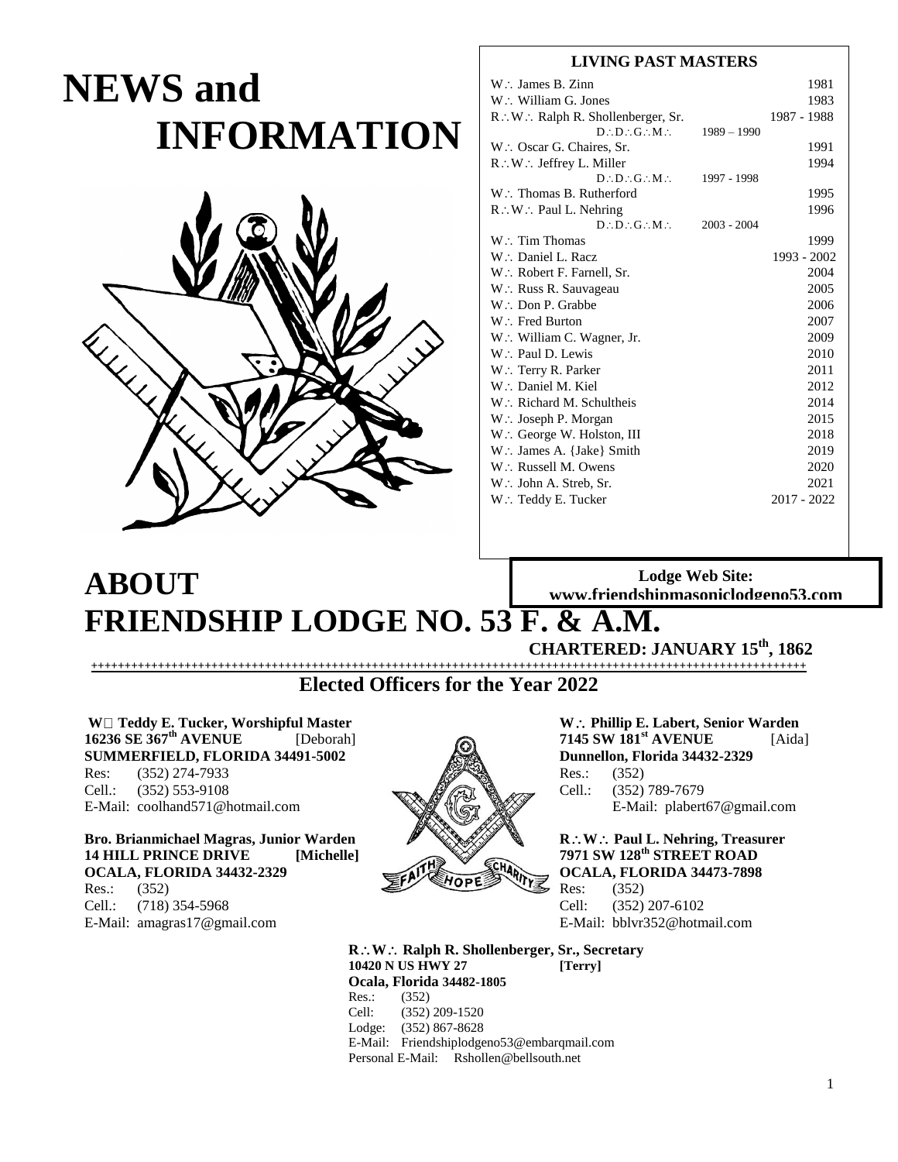# **NEWS and INFORMATION**



## **LIVING PAST MASTERS**

|               | 1981          |
|---------------|---------------|
|               | 1983          |
|               | 1987 - 1988   |
| $1989 - 1990$ |               |
|               | 1991          |
|               | 1994          |
| 1997 - 1998   |               |
|               | 1995          |
|               | 1996          |
|               |               |
|               | 1999          |
|               | 1993 - 2002   |
|               | 2004          |
|               | 2005          |
|               | 2006          |
|               | 2007          |
|               | 2009          |
|               | 2010          |
|               | 2011          |
|               | 2012          |
|               | 2014          |
|               | 2015          |
|               | 2018          |
|               | 2019          |
|               | 2020          |
|               | 2021          |
|               | $2017 - 2022$ |
|               | $2003 - 2004$ |

## **Lodge Web Site: www.friendshipmasoniclodgeno53.com**

# **FRIENDSHIP LODGE NO. 53 F. & A.M.**

**CHARTERED: JANUARY 15th, 1862**

**+++++++++++++++++++++++++++++++++++++++++++++++++++++++++++++++++++++++++++++++++++++++++++++++++++++++++++ Elected Officers for the Year 2022**

**W Teddy E. Tucker, Worshipful Master** We **We are Most Worse With Phillip E. Labert, Senior Warden**<br>16236 SE 367<sup>th</sup> AVENUE [Deborah] **Phillip E. Labert, Senior Warden** [Aida **16236 SE 367th AVENUE** [Deborah] **7145 SW 181st AVENUE** [Aida] **SUMMERFIELD, FLORIDA 34491-5002 Dunnellon, Florida 34432-2329** Res: (352) 274-7933 Res.: (352) Cell.:  $(352) 553-9108$  Cell.:  $(352) 789-7679$ E-Mail: coolhand571@hotmail.com **E-Mail: [plabert67@gmail.com](mailto:plabert67@gmail.com)** 

**ABOUT**

14 HILL PRINCE DRIVE **[Michelle] 7971 SW 128<sup>th</sup> STREET ROAD OCALA, FLORIDA 34432-2329 OCALA, FLORIDA 34473-7898** Res.:  $(352)$  Res.  $(352)$ Cell.: (718) 354-5968 Cell: (352) 207-6102 E-Mail: [amagras17@gmail.com](mailto:amagras17@gmail.com) E-Mail: [bblvr352@hotmail.com](mailto:bblvr352@hotmail.com) 



**Bro. Brianmichael Magras, Junior Warden Property States Age R.: W.: Paul L. Nehring, Treasurer** 

**RW Ralph R. Shollenberger, Sr., Secretary 10420 N US HWY 27 [Terry] Ocala, Florida 34482-1805**  $(352)$ Cell: (352) 209-1520 Lodge: (352) 867-8628

E-Mail: [Friendshiplodgeno53@embarqmail.com](mailto:friendshiplodgeno53@Embarqmail.com)  Personal E-Mail: [Rshollen@bellsouth.net](mailto:Rshollen@bellsouth.net)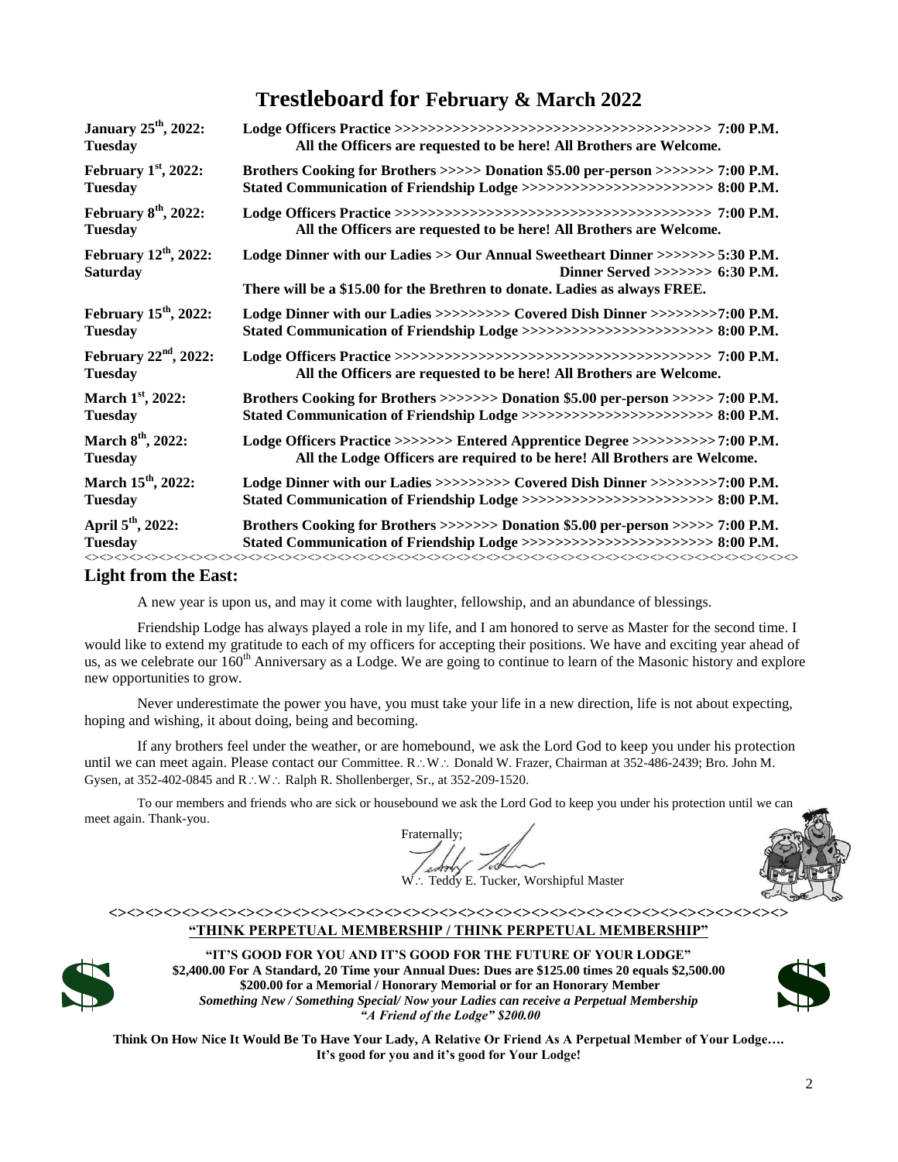## **Trestleboard for February & March 2022**

| <b>January 25<sup>th</sup></b> , 2022:          |                                                                                                                                                                                                        |
|-------------------------------------------------|--------------------------------------------------------------------------------------------------------------------------------------------------------------------------------------------------------|
| <b>Tuesday</b>                                  | All the Officers are requested to be here! All Brothers are Welcome.                                                                                                                                   |
| February $1st$ , 2022:                          | Brothers Cooking for Brothers >>>>> Donation \$5.00 per-person >>>>>>> 7:00 P.M.                                                                                                                       |
| <b>Tuesday</b>                                  | Stated Communication of Friendship Lodge >>>>>>>>>>>>>>>>>>>>>>>>>> 8:00 P.M.                                                                                                                          |
| February $8th$ , 2022:                          |                                                                                                                                                                                                        |
| <b>Tuesday</b>                                  | All the Officers are requested to be here! All Brothers are Welcome.                                                                                                                                   |
| February $12th$ , 2022:<br><b>Saturday</b>      | Lodge Dinner with our Ladies >> Our Annual Sweetheart Dinner >>>>>>> 5:30 P.M.<br>Dinner Served $\gg\gg\gg\gg$ 6:30 P.M.<br>There will be a \$15.00 for the Brethren to donate. Ladies as always FREE. |
| February $15th$ , 2022:                         | Lodge Dinner with our Ladies >>>>>>>>>> Covered Dish Dinner >>>>>>>>7:00 P.M.                                                                                                                          |
| <b>Tuesday</b>                                  | Stated Communication of Friendship Lodge >>>>>>>>>>>>>>>>>>>>>>>>>>>>>> 8:00 P.M.                                                                                                                      |
| February $22nd$ , 2022:                         |                                                                                                                                                                                                        |
| <b>Tuesday</b>                                  | All the Officers are requested to be here! All Brothers are Welcome.                                                                                                                                   |
| March $1st$ , 2022:                             | Brothers Cooking for Brothers >>>>>>>> Donation \$5.00 per-person >>>>> 7:00 P.M.                                                                                                                      |
| <b>Tuesday</b>                                  | Stated Communication of Friendship Lodge >>>>>>>>>>>>>>>>>>>>>>>>>> 8:00 P.M.                                                                                                                          |
| March 8 <sup>th</sup> , 2022:                   | Lodge Officers Practice >>>>>>> Entered Apprentice Degree >>>>>>>>>>>7:00 P.M.                                                                                                                         |
| <b>Tuesday</b>                                  | All the Lodge Officers are required to be here! All Brothers are Welcome.                                                                                                                              |
| March 15 <sup>th</sup> , 2022:                  | Lodge Dinner with our Ladies >>>>>>>>>> Covered Dish Dinner >>>>>>>>7:00 P.M.                                                                                                                          |
| <b>Tuesday</b>                                  | Stated Communication of Friendship Lodge >>>>>>>>>>>>>>>>>>>>>>>>>>>>>> 8:00 P.M.                                                                                                                      |
| April 5 <sup>th</sup> , 2022:<br><b>Tuesday</b> | Brothers Cooking for Brothers >>>>>>>> Donation \$5.00 per-person >>>>> 7:00 P.M.<br>Stated Communication of Friendship Lodge >>>>>>>>>>>>>>>>>>>>>>>>>> 8:00 P.M.                                     |

## **Light from the East:**

A new year is upon us, and may it come with laughter, fellowship, and an abundance of blessings.

Friendship Lodge has always played a role in my life, and I am honored to serve as Master for the second time. I would like to extend my gratitude to each of my officers for accepting their positions. We have and exciting year ahead of us, as we celebrate our 160<sup>th</sup> Anniversary as a Lodge. We are going to continue to learn of the Masonic history and explore new opportunities to grow.

Never underestimate the power you have, you must take your life in a new direction, life is not about expecting, hoping and wishing, it about doing, being and becoming.

If any brothers feel under the weather, or are homebound, we ask the Lord God to keep you under his protection until we can meet again. Please contact our Committee. R.: W.: Donald W. Frazer, Chairman at 352-486-2439; Bro. John M. Gysen, at 352-402-0845 and R .: W .: Ralph R. Shollenberger, Sr., at 352-209-1520.

To our members and friends who are sick or housebound we ask the Lord God to keep you under his protection until we can meet again. Thank-you.

Fraternally;

Teddy E. Tucker, Worshipful Master

### **<><><><><><><><><><><><><><><><><><><><><><><><><><><><><><><><><><><><><> "THINK PERPETUAL MEMBERSHIP / THINK PERPETUAL MEMBERSHIP"**



**"IT'S GOOD FOR YOU AND IT'S GOOD FOR THE FUTURE OF YOUR LODGE" \$2,400.00 For A Standard, 20 Time your Annual Dues: Dues are \$125.00 times 20 equals \$2,500.00 \$200.00 for a Memorial / Honorary Memorial or for an Honorary Member** *Something New / Something Special/ Now your Ladies can receive a Perpetual Membership "A Friend of the Lodge" \$200.00*



**Think On How Nice It Would Be To Have Your Lady, A Relative Or Friend As A Perpetual Member of Your Lodge…. It's good for you and it's good for Your Lodge!**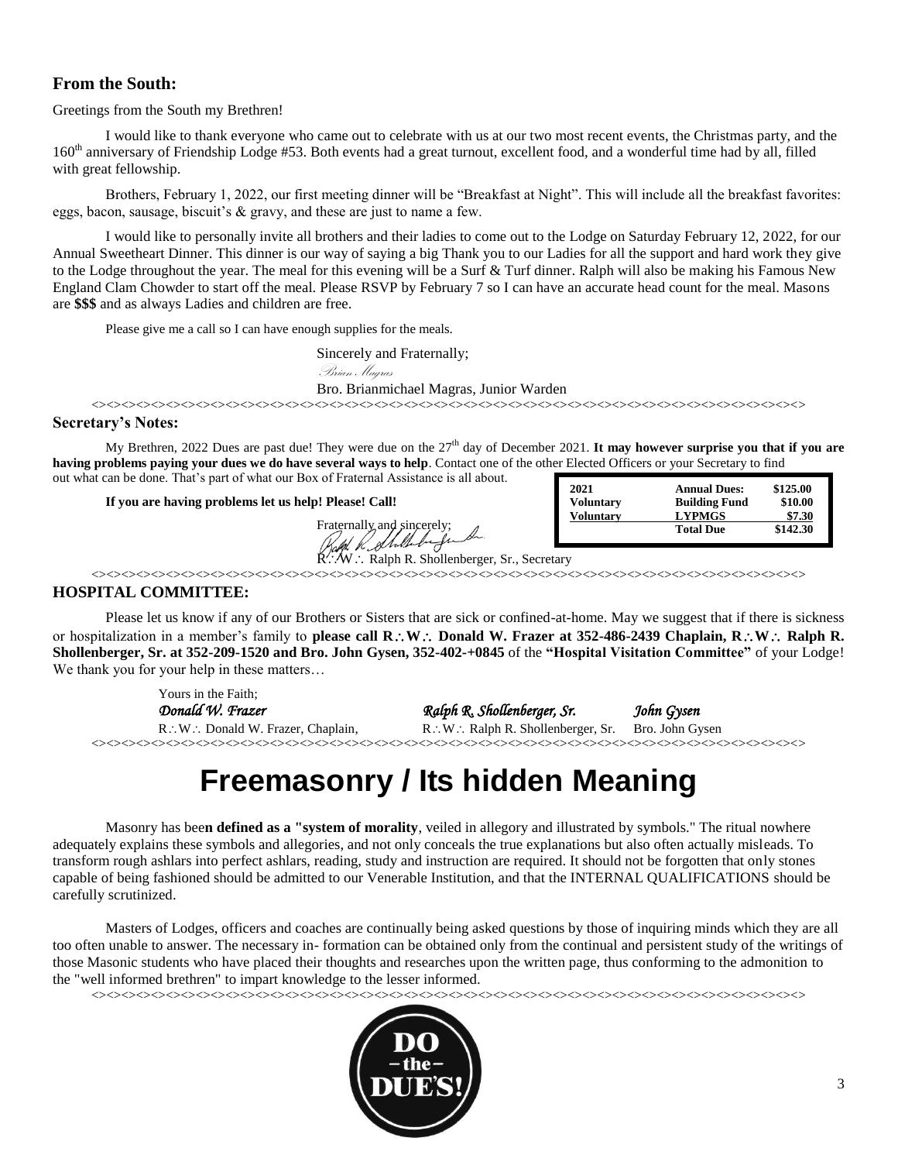## **From the South:**

Greetings from the South my Brethren!

I would like to thank everyone who came out to celebrate with us at our two most recent events, the Christmas party, and the 160<sup>th</sup> anniversary of Friendship Lodge #53. Both events had a great turnout, excellent food, and a wonderful time had by all, filled with great fellowship.

Brothers, February 1, 2022, our first meeting dinner will be "Breakfast at Night". This will include all the breakfast favorites: eggs, bacon, sausage, biscuit's & gravy, and these are just to name a few.

I would like to personally invite all brothers and their ladies to come out to the Lodge on Saturday February 12, 2022, for our Annual Sweetheart Dinner. This dinner is our way of saying a big Thank you to our Ladies for all the support and hard work they give to the Lodge throughout the year. The meal for this evening will be a Surf & Turf dinner. Ralph will also be making his Famous New England Clam Chowder to start off the meal. Please RSVP by February 7 so I can have an accurate head count for the meal. Masons are **\$\$\$** and as always Ladies and children are free.

Please give me a call so I can have enough supplies for the meals.

Sincerely and Fraternally;

Brian Magras

Bro. Brianmichael Magras, Junior Warden

<><><><><><><><><><><><><><><><><><><><><><><><><><><><><><><><><><><><><><><><><><><><><><><><>

## **Secretary's Notes:**

My Brethren, 2022 Dues are past due! They were due on the 27<sup>th</sup> day of December 2021. **It may however surprise you that if you are having problems paying your dues we do have several ways to help**. Contact one of the other Elected Officers or your Secretary to find out what can be done. That's part of what our Box of Fraternal Assistance is all about.

**If you are having problems let us help! Please! Call!**

Fraternally, and sincerely;

| 2021             | <b>Annual Dues:</b>  | \$125.00 |
|------------------|----------------------|----------|
| <b>Voluntary</b> | <b>Building Fund</b> | \$10.00  |
| <b>Voluntary</b> | <b>LYPMGS</b>        | \$7.30   |
|                  | <b>Total Due</b>     | \$142.30 |

 $W$  ... Ralph R. Shollenberger, Sr., Secretary

<><><><><><><><><><><><><><><><><><><><><><><><><><><><><><><><><><><><><><><><><><><><><><><><>

## **HOSPITAL COMMITTEE:**

Please let us know if any of our Brothers or Sisters that are sick or confined-at-home. May we suggest that if there is sickness or hospitalization in a member's family to **please call R**: W: Donald W. Frazer at 352-486-2439 Chaplain, R: W: Ralph R. **Shollenberger, Sr. at 352-209-1520 and Bro. John Gysen, 352-402-+0845** of the **"Hospital Visitation Committee"** of your Lodge! We thank you for your help in these matters...

Yours in the Faith; *Donald W. Frazer Ralph R. Shollenberger, Sr. John Gysen*  $R: W:$  Donald W. Frazer, Chaplain,  $R: W:$  Ralph R. Shollenberger, Sr. Bro. John Gysen <><><><><><><><><><><><><><><><><><><><><><><><><><><><><><><><><><><><><><><><><><><><><><><><>

## **Freemasonry / Its hidden Meaning**

Masonry has bee**n defined as a "system of morality**, veiled in allegory and illustrated by symbols." The ritual nowhere adequately explains these symbols and allegories, and not only conceals the true explanations but also often actually misleads. To transform rough ashlars into perfect ashlars, reading, study and instruction are required. It should not be forgotten that only stones capable of being fashioned should be admitted to our Venerable Institution, and that the INTERNAL QUALIFICATIONS should be carefully scrutinized.

Masters of Lodges, officers and coaches are continually being asked questions by those of inquiring minds which they are all too often unable to answer. The necessary in- formation can be obtained only from the continual and persistent study of the writings of those Masonic students who have placed their thoughts and researches upon the written page, thus conforming to the admonition to the "well informed brethren" to impart knowledge to the lesser informed.

<><><><><><><><><><><><><><><><><><><><><><><><><><><><><><><><><><><><><><><><><><><><><><><><>

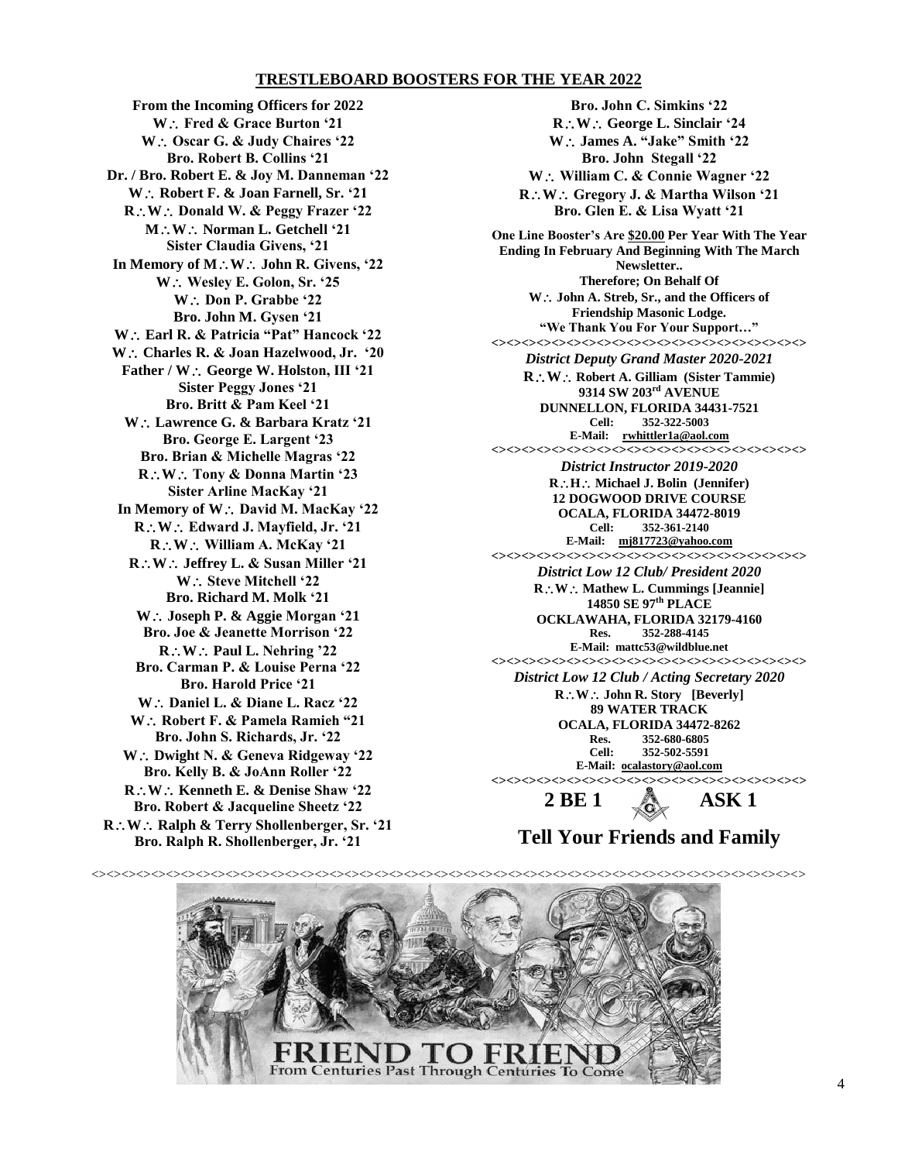## **TRESTLEBOARD BOOSTERS FOR THE YEAR 2022**

**From the Incoming Officers for 2022 W Fred & Grace Burton '21 W** ∴ Oscar G. & Judy Chaires '22 **Bro. Robert B. Collins '21 Dr. / Bro. Robert E. & Joy M. Danneman '22** W: Robert F. & Joan Farnell, Sr. '21 **R**: W: Donald W. & Peggy Frazer '22 **M**: **W**: **Norman L. Getchell** '21 **Sister Claudia Givens, '21** In Memory of  $M : W :$  John R. Givens, '22 **W Wesley E. Golon, Sr. '25** W: Don P. Grabbe '22 **Bro. John M. Gysen '21 W Earl R. & Patricia "Pat" Hancock '22 W Charles R. & Joan Hazelwood, Jr. '20** Father / W.: George W. Holston, III '21 **Sister Peggy Jones '21 Bro. Britt & Pam Keel '21 W Lawrence G. & Barbara Kratz '21 Bro. George E. Largent '23 Bro. Brian & Michelle Magras '22 RW Tony & Donna Martin '23 Sister Arline MacKay '21** In Memory of W.: David M. MacKay '22 **RW Edward J. Mayfield, Jr. '21 RW William A. McKay '21 RW Jeffrey L. & Susan Miller '21 W**  $\therefore$  Steve Mitchell '22 **Bro. Richard M. Molk '21 W Joseph P. & Aggie Morgan '21 Bro. Joe & Jeanette Morrison '22**  $R: W:$  Paul L. Nehring '22 **Bro. Carman P. & Louise Perna '22 Bro. Harold Price '21 W Daniel L. & Diane L. Racz '22 W∴ Robert F. & Pamela Ramieh "21 Bro. John S. Richards, Jr. '22 W Dwight N. & Geneva Ridgeway '22 Bro. Kelly B. & JoAnn Roller '22 RW Kenneth E. & Denise Shaw '22 Bro. Robert & Jacqueline Sheetz '22 R**∴W∴ Ralph & Terry Shollenberger, Sr. '21 **Bro. Ralph R. Shollenberger, Jr. '21**

**Bro. John C. Simkins '22 R**: W. George L. Sinclair '24 **W James A. "Jake" Smith '22 Bro. John Stegall '22** W: William C. & Connie Wagner '22 **R**∴W∴ Gregory J. & Martha Wilson '21 **Bro. Glen E. & Lisa Wyatt '21 One Line Booster's Are \$20.00 Per Year With The Year Ending In February And Beginning With The March Newsletter.. Therefore; On Behalf Of W John A. Streb, Sr., and the Officers of Friendship Masonic Lodge. "We Thank You For Your Support…" <><><><><><><><><><><><><><><><><><><><><>** *District Deputy Grand Master 2020-2021* **RW Robert A. Gilliam (Sister Tammie) 9314 SW 203rd AVENUE DUNNELLON, FLORIDA 34431-7521 Cell: 352-322-5003 E-Mail: [rwhittler1a@aol.com](mailto:rwhittler1a@aol.com)  <><><><><><><><><><><><><><><><><><><><><>** *District Instructor 2019-2020* **R***∴***H***∴* Michael J. Bolin (Jennifer) **12 DOGWOOD DRIVE COURSE OCALA, FLORIDA 34472-8019 Cell: 352-361-2140 E-Mail: [mj817723@yahoo.com](mailto:mj817723@yahoo.com)  <><><><><><><><><><><><><><><><><><><><><>** *District Low 12 Club/ President 2020* **R∴W** ∴ Mathew L. Cummings [Jeannie]

**14850 SE 97th PLACE OCKLAWAHA, FLORIDA 32179-4160 Res. 352-288-4145 E-Mail: [mattc53@wildblue.net](mailto:mattc53@wildblue.net) <><><><><><><><><><><><><><><><><><><><><>**

*District Low 12 Club / Acting Secretary 2020* **RW John R. Story [Beverly] 89 WATER TRACK OCALA, FLORIDA 34472-8262 Res. 352-680-6805 Cell: 352-502-5591 E-Mail: [ocalastory@aol.com](mailto:ocalastory@aol.com)**  $\sim$ 

**2 BE 1 ASK 1**

**Tell Your Friends and Family**

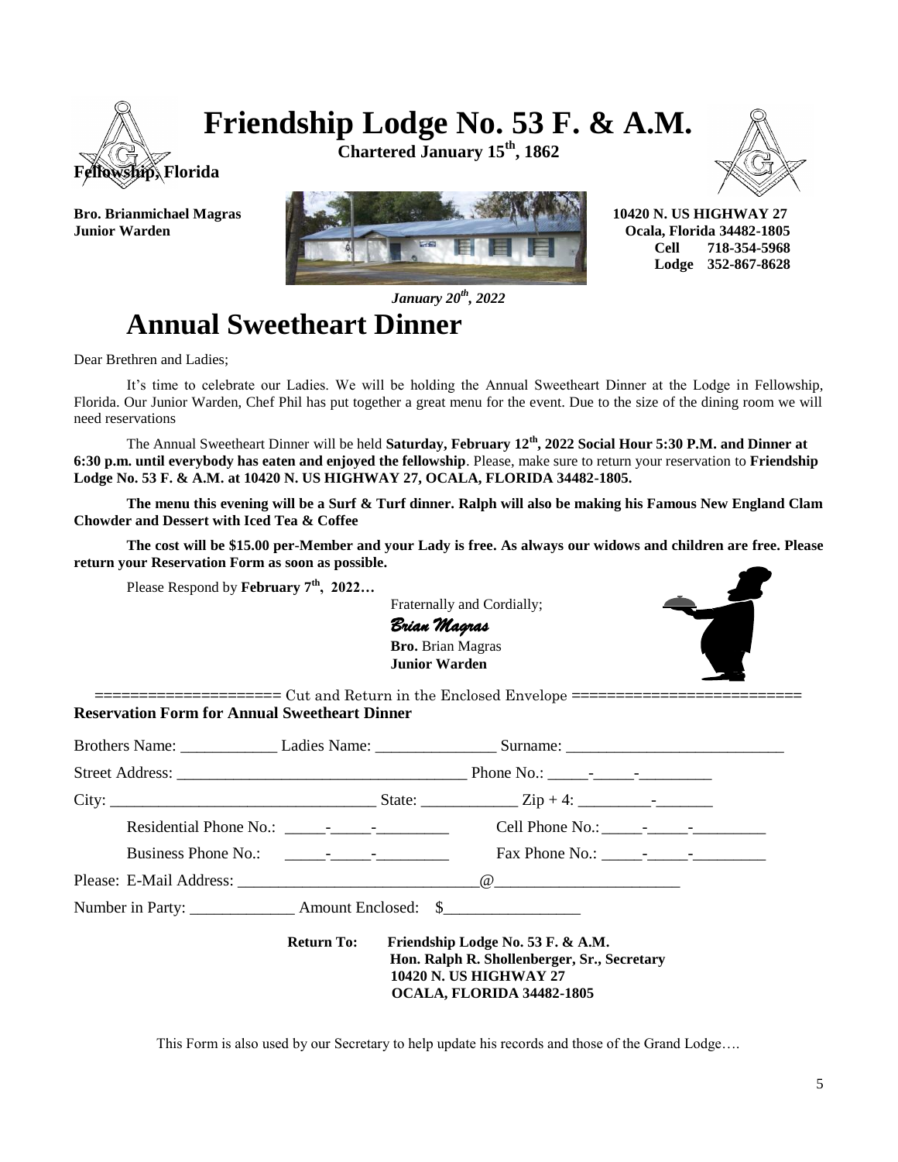# **Friendship Lodge No. 53 F. & A.M.**

**Fellowship, Florida**

**Chartered January 15th, 1862**





 **Cell 718-354-5968 Lodge 352-867-8628**

*January 20th, 2022*

## **Annual Sweetheart Dinner**

Dear Brethren and Ladies;

 It's time to celebrate our Ladies. We will be holding the Annual Sweetheart Dinner at the Lodge in Fellowship, Florida. Our Junior Warden, Chef Phil has put together a great menu for the event. Due to the size of the dining room we will need reservations

 The Annual Sweetheart Dinner will be held **Saturday, February 12th, 2022 Social Hour 5:30 P.M. and Dinner at 6:30 p.m. until everybody has eaten and enjoyed the fellowship**. Please, make sure to return your reservation to **Friendship Lodge No. 53 F. & A.M. at 10420 N. US HIGHWAY 27, OCALA, FLORIDA 34482-1805.** 

**The menu this evening will be a Surf & Turf dinner. Ralph will also be making his Famous New England Clam Chowder and Dessert with Iced Tea & Coffee**

**The cost will be \$15.00 per-Member and your Lady is free. As always our widows and children are free. Please return your Reservation Form as soon as possible.**

Please Respond by **February 7th, 2022…**

 Fraternally and Cordially; *Brian Magras* **Bro.** Brian Magras **Junior Warden**



 $=$  $=$  $=$  $=$  $=$  $=$  $$\frac{1}{2}$  cut and Return in the Enclosed Envelope =$ **Reservation Form for Annual Sweetheart Dinner**

| <b>Return To:</b> | Friendship Lodge No. 53 F. & A.M.<br>Hon. Ralph R. Shollenberger, Sr., Secretary<br><b>10420 N. US HIGHWAY 27</b><br>OCALA, FLORIDA 34482-1805 |  |
|-------------------|------------------------------------------------------------------------------------------------------------------------------------------------|--|

This Form is also used by our Secretary to help update his records and those of the Grand Lodge….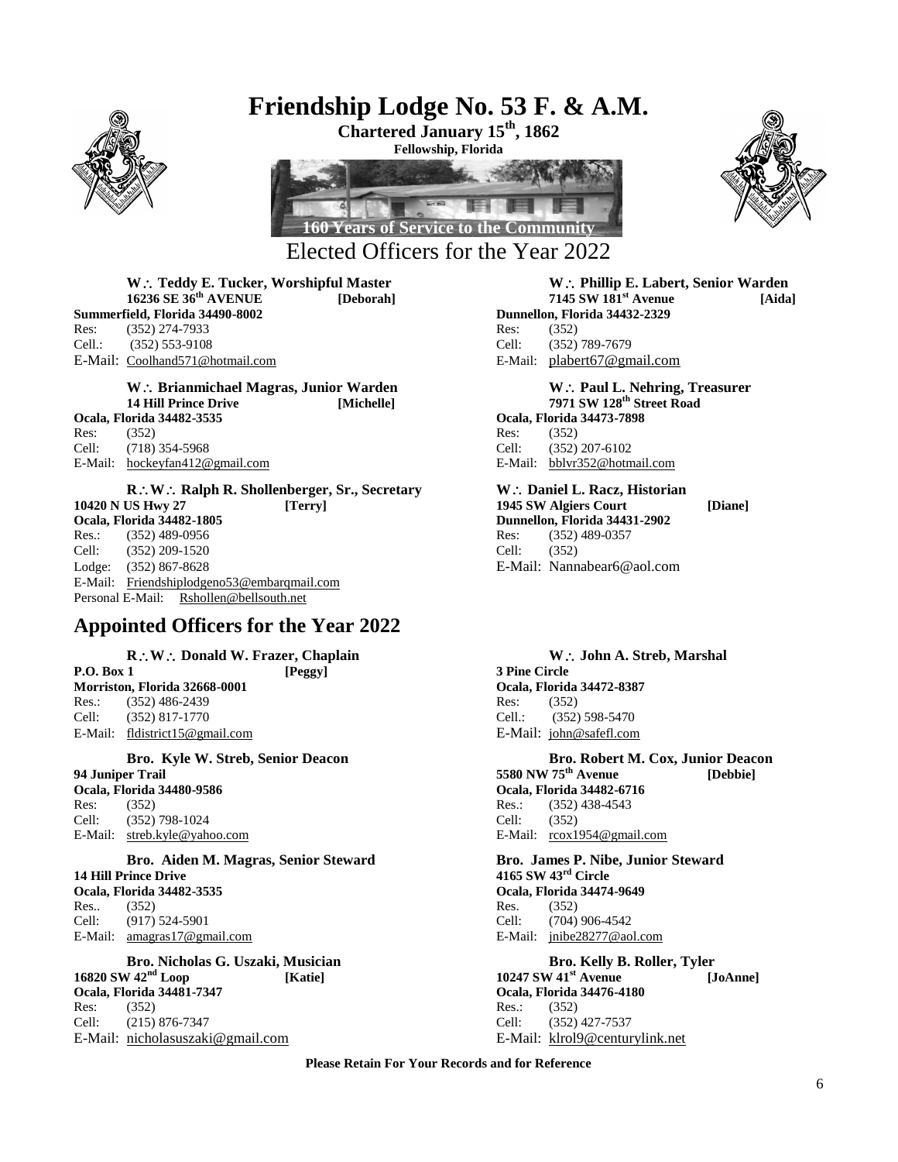

## **Friendship Lodge No. 53 F. & A.M.**

**Chartered January 15th, 1862 Fellowship, Florida**





**Summerfield, Florida 34490-8002** Res: (352) 274-7933 Res: (352) Cell.: (352) 553-9108 Cell: (352) 789-7679 E-Mail: [Coolhand571@hotmail.com](mailto:Coolhand571@hotmail.com) E-Mail: [plabert67@gmail.com](mailto:plabert67@gmail.com)

W: Brianmichael Magras, Junior Warden **With Communist Communist Communist Communist Communist Communist Communist Communist Communist Communist Communist Communist Communist Communist Communist Communist Communist Communis 14 Hill Prince Drive [Michelle] 7971 SW 128th Street Road Ocala, Florida 34482-3535 Ocala, Florida 34473-7898**

Res: (352) Res: (352) Cell: (718) 354-5968 Cell: (352) 207-6102 E-Mail: hockeyfan412@gmail.com E-Mail: bblvr352@hotmail.com

**R**: W: Ralph R. Shollenberger, Sr., Secretary W: Daniel L. Racz, Historian **10420 N US Hwy 27 [Terry] 1945 SW Algiers Court [Diane] Ocala, Florida 34482-1805**<br> **Res.:** (352) 489-0956<br> **Res.:** (352) 489-0956<br> **Res.** (352) 489-0357 Res.: (352) 489-0956 Res: (352) 489-0357 Cell: (352) 209-1520 Cell: (352) Lodge: (352) 867-8628 E-Mail: Nannabear6@aol.com E-Mail: [Friendshiplodgeno53@embarqmail.com](mailto:friendshiplodgeno53@Embarqmail.com)  Personal E-Mail: [Rshollen@bellsouth.net](mailto:Rshollen@bellsouth.net) 

## **Appointed Officers for the Year 2022**

**Morriston, Florida 32668-0001 Ocala, Florida 34472-8387** Res.: (352) 486-2439 Res: (352) Cell: (352) 817-1770 Cell.: (352) 598-5470 E-Mail: [fldistrict15@gmail.com](mailto:fldistrict15@gmail.com) E-Mail: [john@safefl.com](mailto:john@safefl.com)

**Ocala, Florida 34480-9586 Ocala, Florida 34482-6716** Res: (352) 838-4543 Cell: (352) 798-1024 Cell: (352)

**Bro. Aiden M. Magras, Senior Steward Bro. James P. Nibe, Junior Steward 14 Hill Prince Drive 4165 SW 43rd Circle Ocala, Florida 34482-3535 Ocala, Florida 34474-9649** Res.. (352) Res. (352) Cell: (917) 524-5901 Cell: (704) 906-4542 E-Mail: [amagras17@gmail.com](mailto:amagras17@gmail.com) E-Mail: [jnibe28277@aol.com](mailto:jnibe28277@aol.com)

**Bro. Nicholas G. Uszaki, Musician bro. Kelly B. Roller, Tyler**<br>16820 SW 42<sup>nd</sup> Loop [Katie] **Bro. 20247 SW 41<sup>st</sup> Avenue** [J] **Ocala, Florida 34481-7347 Ocala, Florida 34476-4180**<br> **Res:** (352) **Res:** (352) Res: (352) Res.: (352) Cell: (215) 876-7347 Cell: (352) 427-7537 E-Mail: [nicholasuszaki@gmail.com](mailto:nicholasuszaki@gmail.com) E-Mail: [klrol9@centurylink.net](mailto:klrol9@centurylink.net) 

## W.: Teddy E. Tucker, Worshipful Master **M.: Phillip E. Labert, Senior Warden**<br>16236 SE 36<sup>th</sup> AVENUE [Deborah] 7145 SW 181<sup>st</sup> Avenue [Aida **16236 SE 36th AVENUE [Deborah] 7145 SW 181st Avenue [Aida]**

**R**. W.: Donald W. Frazer, Chaplain **W.: John A. Streb, Marshal**<br> **P.O. Box 1 IPeggy J John A. Streb, Marshal P.O. Box 1 [Peggy] 3 Pine Circle Bro. Kyle W. Streb, Senior Deacon Bro. Robert M. Cox, Junior Deacon**

**94 Juniper Trail 5580 NW 75th Avenue [Debbie]** E-Mail: streb.kyle@yahoo.com E-Mail: rcox1954@gmail.com

**16820 SW 42nd Loop [Katie] 10247 SW 41st Avenue [JoAnne]**

**Please Retain For Your Records and for Reference**